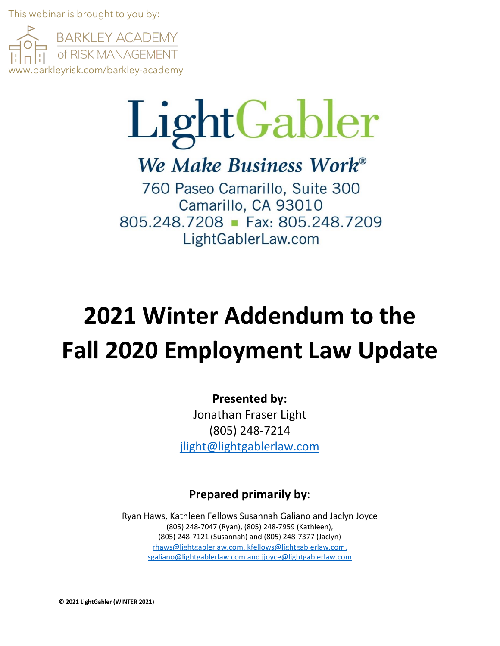This webinar is brought to you by:



# LightGabler

We Make Business Work<sup>®</sup>

760 Paseo Camarillo, Suite 300 Camarillo, CA 93010 805.248.7208 Fax: 805.248.7209 LightGablerLaw.com

# **2021 Winter Addendum to the Fall 2020 Employment Law Update**

### **Presented by:**

Jonathan Fraser Light (805) 248-7214 [jlight@lightgablerlaw.com](mailto:jlight@lightgablerlaw.com)

## **Prepared primarily by:**

Ryan Haws, Kathleen Fellows Susannah Galiano and Jaclyn Joyce (805) 248-7047 (Ryan), (805) 248-7959 (Kathleen), (805) 248-7121 (Susannah) and (805) 248-7377 (Jaclyn) [rhaws@lightgablerlaw.com,](mailto:rhaws@lightgablerlaw.com) [kfellows@lightgablerlaw.com,](mailto:kfellows@lightgablerlaw.com) sgaliano@lightgablerlaw.com and jjoyce@lightgablerlaw.com

**© 2021 LightGabler (WINTER 2021)**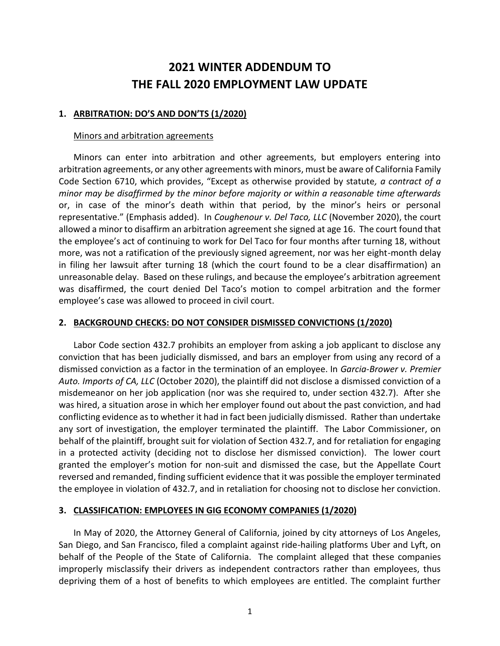# **2021 WINTER ADDENDUM TO THE FALL 2020 EMPLOYMENT LAW UPDATE**

#### **1. ARBITRATION: DO'S AND DON'TS (1/2020)**

#### Minors and arbitration agreements

Minors can enter into arbitration and other agreements, but employers entering into arbitration agreements, or any other agreements with minors, must be aware of California Family Code Section 6710, which provides, "Except as otherwise provided by statute*, a contract of a minor may be disaffirmed by the minor before majority or within a reasonable time afterwards* or, in case of the minor's death within that period, by the minor's heirs or personal representative." (Emphasis added). In *Coughenour v. Del Taco, LLC* (November 2020), the court allowed a minor to disaffirm an arbitration agreement she signed at age 16. The court found that the employee's act of continuing to work for Del Taco for four months after turning 18, without more, was not a ratification of the previously signed agreement, nor was her eight-month delay in filing her lawsuit after turning 18 (which the court found to be a clear disaffirmation) an unreasonable delay. Based on these rulings, and because the employee's arbitration agreement was disaffirmed, the court denied Del Taco's motion to compel arbitration and the former employee's case was allowed to proceed in civil court.

#### **2. BACKGROUND CHECKS: DO NOT CONSIDER DISMISSED CONVICTIONS (1/2020)**

Labor Code section 432.7 prohibits an employer from asking a job applicant to disclose any conviction that has been judicially dismissed, and bars an employer from using any record of a dismissed conviction as a factor in the termination of an employee. In *Garcia-Brower v. Premier Auto. Imports of CA, LLC* (October 2020), the plaintiff did not disclose a dismissed conviction of a misdemeanor on her job application (nor was she required to, under section 432.7). After she was hired, a situation arose in which her employer found out about the past conviction, and had conflicting evidence as to whether it had in fact been judicially dismissed. Rather than undertake any sort of investigation, the employer terminated the plaintiff. The Labor Commissioner, on behalf of the plaintiff, brought suit for violation of Section 432.7, and for retaliation for engaging in a protected activity (deciding not to disclose her dismissed conviction). The lower court granted the employer's motion for non-suit and dismissed the case, but the Appellate Court reversed and remanded, finding sufficient evidence that it was possible the employer terminated the employee in violation of 432.7, and in retaliation for choosing not to disclose her conviction.

#### **3. CLASSIFICATION: EMPLOYEES IN GIG ECONOMY COMPANIES (1/2020)**

In May of 2020, the Attorney General of California, joined by city attorneys of Los Angeles, San Diego, and San Francisco, filed a complaint against ride-hailing platforms Uber and Lyft, on behalf of the People of the State of California. The complaint alleged that these companies improperly misclassify their drivers as independent contractors rather than employees, thus depriving them of a host of benefits to which employees are entitled. The complaint further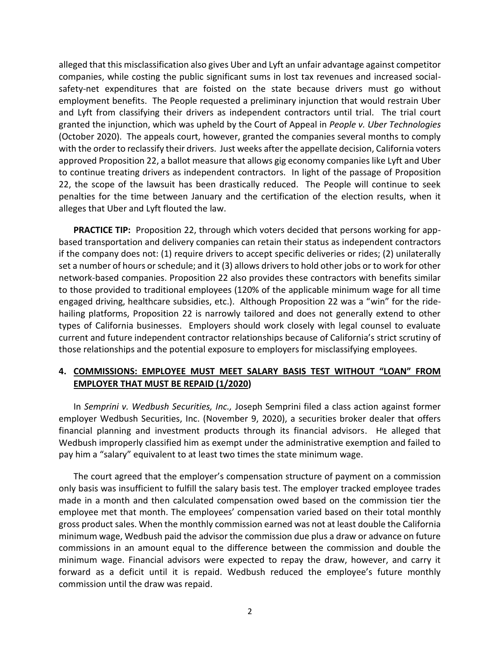alleged that this misclassification also gives Uber and Lyft an unfair advantage against competitor companies, while costing the public significant sums in lost tax revenues and increased socialsafety-net expenditures that are foisted on the state because drivers must go without employment benefits. The People requested a preliminary injunction that would restrain Uber and Lyft from classifying their drivers as independent contractors until trial. The trial court granted the injunction, which was upheld by the Court of Appeal in *People v. Uber Technologies* (October 2020). The appeals court, however, granted the companies several months to comply with the order to reclassify their drivers. Just weeks after the appellate decision, California voters approved Proposition 22, a ballot measure that allows gig economy companies like Lyft and Uber to continue treating drivers as independent contractors. In light of the passage of Proposition 22, the scope of the lawsuit has been drastically reduced. The People will continue to seek penalties for the time between January and the certification of the election results, when it alleges that Uber and Lyft flouted the law.

**PRACTICE TIP:** Proposition 22, through which voters decided that persons working for appbased transportation and delivery companies can retain their status as independent contractors if the company does not: (1) require drivers to accept specific deliveries or rides; (2) unilaterally set a number of hours or schedule; and it (3) allows drivers to hold other jobs or to work for other network-based companies. Proposition 22 also provides these contractors with benefits similar to those provided to traditional employees (120% of the applicable minimum wage for all time engaged driving, healthcare subsidies, etc.). Although Proposition 22 was a "win" for the ridehailing platforms, Proposition 22 is narrowly tailored and does not generally extend to other types of California businesses. Employers should work closely with legal counsel to evaluate current and future independent contractor relationships because of California's strict scrutiny of those relationships and the potential exposure to employers for misclassifying employees.

#### **4. COMMISSIONS: EMPLOYEE MUST MEET SALARY BASIS TEST WITHOUT "LOAN" FROM EMPLOYER THAT MUST BE REPAID (1/2020)**

In *Semprini v. Wedbush Securities, Inc.,* Joseph Semprini filed a class action against former employer Wedbush Securities, Inc. (November 9, 2020), a securities broker dealer that offers financial planning and investment products through its financial advisors. He alleged that Wedbush improperly classified him as exempt under the administrative exemption and failed to pay him a "salary" equivalent to at least two times the state minimum wage.

The court agreed that the employer's compensation structure of payment on a commission only basis was insufficient to fulfill the salary basis test. The employer tracked employee trades made in a month and then calculated compensation owed based on the commission tier the employee met that month. The employees' compensation varied based on their total monthly gross product sales. When the monthly commission earned was not at least double the California minimum wage, Wedbush paid the advisor the commission due plus a draw or advance on future commissions in an amount equal to the difference between the commission and double the minimum wage. Financial advisors were expected to repay the draw, however, and carry it forward as a deficit until it is repaid. Wedbush reduced the employee's future monthly commission until the draw was repaid.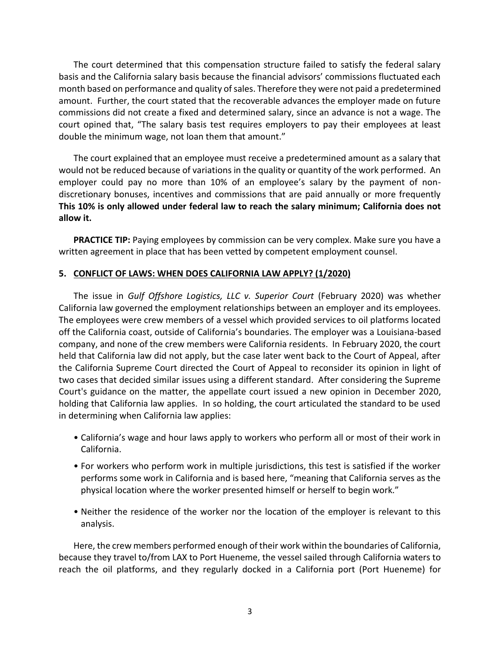The court determined that this compensation structure failed to satisfy the federal salary basis and the California salary basis because the financial advisors' commissions fluctuated each month based on performance and quality of sales. Therefore they were not paid a predetermined amount. Further, the court stated that the recoverable advances the employer made on future commissions did not create a fixed and determined salary, since an advance is not a wage. The court opined that, "The salary basis test requires employers to pay their employees at least double the minimum wage, not loan them that amount."

The court explained that an employee must receive a predetermined amount as a salary that would not be reduced because of variations in the quality or quantity of the work performed. An employer could pay no more than 10% of an employee's salary by the payment of nondiscretionary bonuses, incentives and commissions that are paid annually or more frequently **This 10% is only allowed under federal law to reach the salary minimum; California does not allow it.**

**PRACTICE TIP:** Paying employees by commission can be very complex. Make sure you have a written agreement in place that has been vetted by competent employment counsel.

#### **5. CONFLICT OF LAWS: WHEN DOES CALIFORNIA LAW APPLY? (1/2020)**

The issue in *Gulf Offshore Logistics, LLC v. Superior Court* (February 2020) was whether California law governed the employment relationships between an employer and its employees. The employees were crew members of a vessel which provided services to oil platforms located off the California coast, outside of California's boundaries. The employer was a Louisiana-based company, and none of the crew members were California residents. In February 2020, the court held that California law did not apply, but the case later went back to the Court of Appeal, after the California Supreme Court directed the Court of Appeal to reconsider its opinion in light of two cases that decided similar issues using a different standard. After considering the Supreme Court's guidance on the matter, the appellate court issued a new opinion in December 2020, holding that California law applies. In so holding, the court articulated the standard to be used in determining when California law applies:

- California's wage and hour laws apply to workers who perform all or most of their work in California.
- For workers who perform work in multiple jurisdictions, this test is satisfied if the worker performs some work in California and is based here, "meaning that California serves as the physical location where the worker presented himself or herself to begin work."
- Neither the residence of the worker nor the location of the employer is relevant to this analysis.

Here, the crew members performed enough of their work within the boundaries of California, because they travel to/from LAX to Port Hueneme, the vessel sailed through California waters to reach the oil platforms, and they regularly docked in a California port (Port Hueneme) for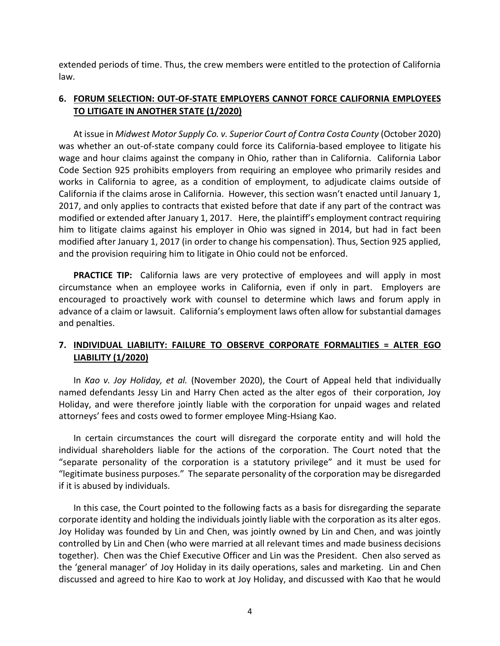extended periods of time. Thus, the crew members were entitled to the protection of California law.

#### **6. FORUM SELECTION: OUT-OF-STATE EMPLOYERS CANNOT FORCE CALIFORNIA EMPLOYEES TO LITIGATE IN ANOTHER STATE (1/2020)**

At issue in *Midwest Motor Supply Co. v. Superior Court of Contra Costa County* (October 2020) was whether an out-of-state company could force its California-based employee to litigate his wage and hour claims against the company in Ohio, rather than in California. California Labor Code Section 925 prohibits employers from requiring an employee who primarily resides and works in California to agree, as a condition of employment, to adjudicate claims outside of California if the claims arose in California. However, this section wasn't enacted until January 1, 2017, and only applies to contracts that existed before that date if any part of the contract was modified or extended after January 1, 2017. Here, the plaintiff's employment contract requiring him to litigate claims against his employer in Ohio was signed in 2014, but had in fact been modified after January 1, 2017 (in order to change his compensation). Thus, Section 925 applied, and the provision requiring him to litigate in Ohio could not be enforced.

**PRACTICE TIP:** California laws are very protective of employees and will apply in most circumstance when an employee works in California, even if only in part. Employers are encouraged to proactively work with counsel to determine which laws and forum apply in advance of a claim or lawsuit. California's employment laws often allow for substantial damages and penalties.

#### **7. INDIVIDUAL LIABILITY: FAILURE TO OBSERVE CORPORATE FORMALITIES = ALTER EGO LIABILITY (1/2020)**

In *Kao v. Joy Holiday, et al.* (November 2020), the Court of Appeal held that individually named defendants Jessy Lin and Harry Chen acted as the alter egos of their corporation, Joy Holiday, and were therefore jointly liable with the corporation for unpaid wages and related attorneys' fees and costs owed to former employee Ming-Hsiang Kao.

In certain circumstances the court will disregard the corporate entity and will hold the individual shareholders liable for the actions of the corporation. The Court noted that the "separate personality of the corporation is a statutory privilege" and it must be used for "legitimate business purposes." The separate personality of the corporation may be disregarded if it is abused by individuals.

In this case, the Court pointed to the following facts as a basis for disregarding the separate corporate identity and holding the individuals jointly liable with the corporation as its alter egos. Joy Holiday was founded by Lin and Chen, was jointly owned by Lin and Chen, and was jointly controlled by Lin and Chen (who were married at all relevant times and made business decisions together). Chen was the Chief Executive Officer and Lin was the President. Chen also served as the 'general manager' of Joy Holiday in its daily operations, sales and marketing. Lin and Chen discussed and agreed to hire Kao to work at Joy Holiday, and discussed with Kao that he would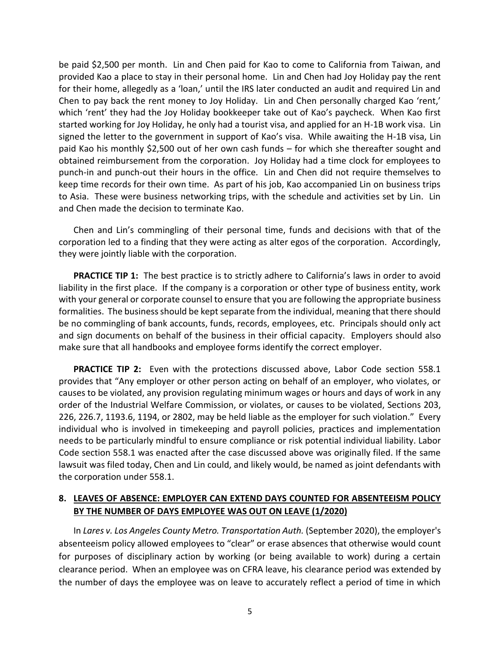be paid \$2,500 per month. Lin and Chen paid for Kao to come to California from Taiwan, and provided Kao a place to stay in their personal home. Lin and Chen had Joy Holiday pay the rent for their home, allegedly as a 'loan,' until the IRS later conducted an audit and required Lin and Chen to pay back the rent money to Joy Holiday. Lin and Chen personally charged Kao 'rent,' which 'rent' they had the Joy Holiday bookkeeper take out of Kao's paycheck. When Kao first started working for Joy Holiday, he only had a tourist visa, and applied for an H-1B work visa. Lin signed the letter to the government in support of Kao's visa. While awaiting the H-1B visa, Lin paid Kao his monthly \$2,500 out of her own cash funds – for which she thereafter sought and obtained reimbursement from the corporation. Joy Holiday had a time clock for employees to punch-in and punch-out their hours in the office. Lin and Chen did not require themselves to keep time records for their own time. As part of his job, Kao accompanied Lin on business trips to Asia. These were business networking trips, with the schedule and activities set by Lin. Lin and Chen made the decision to terminate Kao.

Chen and Lin's commingling of their personal time, funds and decisions with that of the corporation led to a finding that they were acting as alter egos of the corporation. Accordingly, they were jointly liable with the corporation.

**PRACTICE TIP 1:** The best practice is to strictly adhere to California's laws in order to avoid liability in the first place. If the company is a corporation or other type of business entity, work with your general or corporate counsel to ensure that you are following the appropriate business formalities. The business should be kept separate from the individual, meaning that there should be no commingling of bank accounts, funds, records, employees, etc. Principals should only act and sign documents on behalf of the business in their official capacity. Employers should also make sure that all handbooks and employee forms identify the correct employer.

**PRACTICE TIP 2:** Even with the protections discussed above, Labor Code section 558.1 provides that "Any employer or other person acting on behalf of an employer, who violates, or causes to be violated, any provision regulating minimum wages or hours and days of work in any order of the Industrial Welfare Commission, or violates, or causes to be violated, Sections 203, 226, 226.7, 1193.6, 1194, or 2802, may be held liable as the employer for such violation." Every individual who is involved in timekeeping and payroll policies, practices and implementation needs to be particularly mindful to ensure compliance or risk potential individual liability. Labor Code section 558.1 was enacted after the case discussed above was originally filed. If the same lawsuit was filed today, Chen and Lin could, and likely would, be named as joint defendants with the corporation under 558.1.

#### **8. LEAVES OF ABSENCE: EMPLOYER CAN EXTEND DAYS COUNTED FOR ABSENTEEISM POLICY BY THE NUMBER OF DAYS EMPLOYEE WAS OUT ON LEAVE (1/2020)**

In *Lares v. Los Angeles County Metro. Transportation Auth.* (September 2020), the employer's absenteeism policy allowed employees to "clear" or erase absences that otherwise would count for purposes of disciplinary action by working (or being available to work) during a certain clearance period. When an employee was on CFRA leave, his clearance period was extended by the number of days the employee was on leave to accurately reflect a period of time in which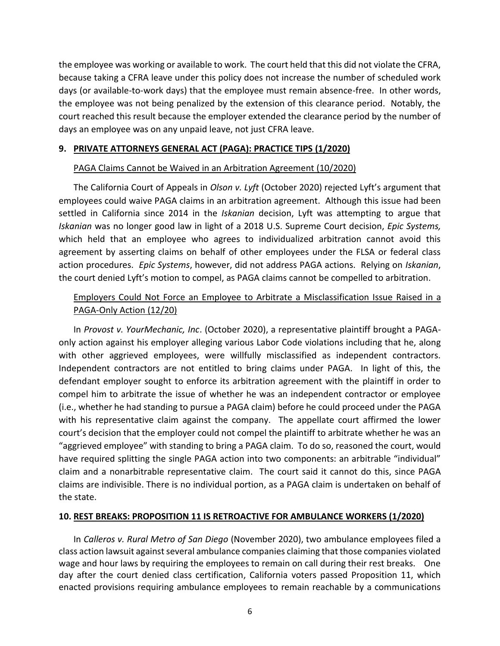the employee was working or available to work. The court held that this did not violate the CFRA, because taking a CFRA leave under this policy does not increase the number of scheduled work days (or available-to-work days) that the employee must remain absence-free. In other words, the employee was not being penalized by the extension of this clearance period. Notably, the court reached this result because the employer extended the clearance period by the number of days an employee was on any unpaid leave, not just CFRA leave.

#### **9. PRIVATE ATTORNEYS GENERAL ACT (PAGA): PRACTICE TIPS (1/2020)**

#### PAGA Claims Cannot be Waived in an Arbitration Agreement (10/2020)

The California Court of Appeals in *Olson v. Lyft* (October 2020) rejected Lyft's argument that employees could waive PAGA claims in an arbitration agreement. Although this issue had been settled in California since 2014 in the *[Iskanian](https://1.next.westlaw.com/Link/Document/FullText?findType=Y&serNum=2033644208&pubNum=0004040&originatingDoc=Idcf96a001a4911eb8cddf39cfa051b39&refType=RP&originationContext=document&transitionType=DocumentItem&contextData=(sc.Search))* decision, Lyft was attempting to argue that *Iskanian* was no longer good law in light of a 2018 U.S. Supreme Court decision, *Epic Systems,* which held that an employee who agrees to individualized arbitration cannot avoid this agreement by asserting claims on behalf of other employees under the FLSA or federal class action procedures. *Epic Systems*, however, did not address PAGA actions. Relying on *Iskanian*, the court denied Lyft's motion to compel, as PAGA claims cannot be compelled to arbitration.

#### Employers Could Not Force an Employee to Arbitrate a Misclassification Issue Raised in a PAGA-Only Action (12/20)

In *Provost v. YourMechanic, Inc*. (October 2020), a representative plaintiff brought a PAGAonly action against his employer alleging various Labor Code violations including that he, along with other aggrieved employees, were willfully misclassified as independent contractors. Independent contractors are not entitled to bring claims under PAGA. In light of this, the defendant employer sought to enforce its arbitration agreement with the plaintiff in order to compel him to arbitrate the issue of whether he was an independent contractor or employee (i.e., whether he had standing to pursue a PAGA claim) before he could proceed under the PAGA with his representative claim against the company. The appellate court affirmed the lower court's decision that the employer could not compel the plaintiff to arbitrate whether he was an "aggrieved employee" with standing to bring a PAGA claim. To do so, reasoned the court, would have required splitting the single PAGA action into two components: an arbitrable "individual" claim and a nonarbitrable representative claim. The court said it cannot do this, since PAGA claims are indivisible. There is no individual portion, as a PAGA claim is undertaken on behalf of the state.

#### **10. REST BREAKS: PROPOSITION 11 IS RETROACTIVE FOR AMBULANCE WORKERS (1/2020)**

In *Calleros v. Rural Metro of San Diego* (November 2020), two ambulance employees filed a class action lawsuit against several ambulance companies claiming that those companies violated wage and hour laws by requiring the employees to remain on call during their rest breaks. One day after the court denied class certification, California voters passed Proposition 11, which enacted provisions requiring ambulance employees to remain reachable by a communications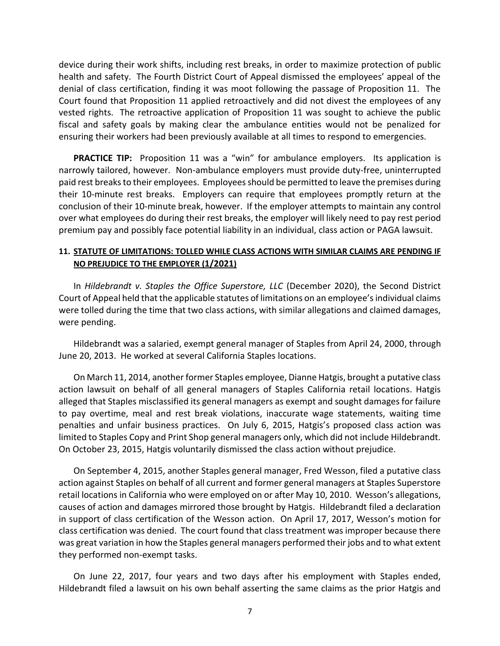device during their work shifts, including rest breaks, in order to maximize protection of public health and safety. The Fourth District Court of Appeal dismissed the employees' appeal of the denial of class certification, finding it was moot following the passage of Proposition 11. The Court found that Proposition 11 applied retroactively and did not divest the employees of any vested rights. The retroactive application of Proposition 11 was sought to achieve the public fiscal and safety goals by making clear the ambulance entities would not be penalized for ensuring their workers had been previously available at all times to respond to emergencies.

**PRACTICE TIP:** Proposition 11 was a "win" for ambulance employers. Its application is narrowly tailored, however. Non-ambulance employers must provide duty-free, uninterrupted paid rest breaks to their employees. Employees should be permitted to leave the premises during their 10-minute rest breaks. Employers can require that employees promptly return at the conclusion of their 10-minute break, however. If the employer attempts to maintain any control over what employees do during their rest breaks, the employer will likely need to pay rest period premium pay and possibly face potential liability in an individual, class action or PAGA lawsuit.

#### **11. STATUTE OF LIMITATIONS: TOLLED WHILE CLASS ACTIONS WITH SIMILAR CLAIMS ARE PENDING IF NO PREJUDICE TO THE EMPLOYER (1/2021)**

In *Hildebrandt v. Staples the Office Superstore, LLC* (December 2020), the Second District Court of Appeal held that the applicable statutes of limitations on an employee's individual claims were tolled during the time that two class actions, with similar allegations and claimed damages, were pending.

Hildebrandt was a salaried, exempt general manager of Staples from April 24, 2000, through June 20, 2013. He worked at several California Staples locations.

On March 11, 2014, another former Staples employee, Dianne Hatgis, brought a putative class action lawsuit on behalf of all general managers of Staples California retail locations. Hatgis alleged that Staples misclassified its general managers as exempt and sought damages for failure to pay overtime, meal and rest break violations, inaccurate wage statements, waiting time penalties and unfair business practices. On July 6, 2015, Hatgis's proposed class action was limited to Staples Copy and Print Shop general managers only, which did not include Hildebrandt. On October 23, 2015, Hatgis voluntarily dismissed the class action without prejudice.

On September 4, 2015, another Staples general manager, Fred Wesson, filed a putative class action against Staples on behalf of all current and former general managers at Staples Superstore retail locations in California who were employed on or after May 10, 2010. Wesson's allegations, causes of action and damages mirrored those brought by Hatgis. Hildebrandt filed a declaration in support of class certification of the Wesson action. On April 17, 2017, Wesson's motion for class certification was denied. The court found that class treatment was improper because there was great variation in how the Staples general managers performed their jobs and to what extent they performed non-exempt tasks.

On June 22, 2017, four years and two days after his employment with Staples ended, Hildebrandt filed a lawsuit on his own behalf asserting the same claims as the prior Hatgis and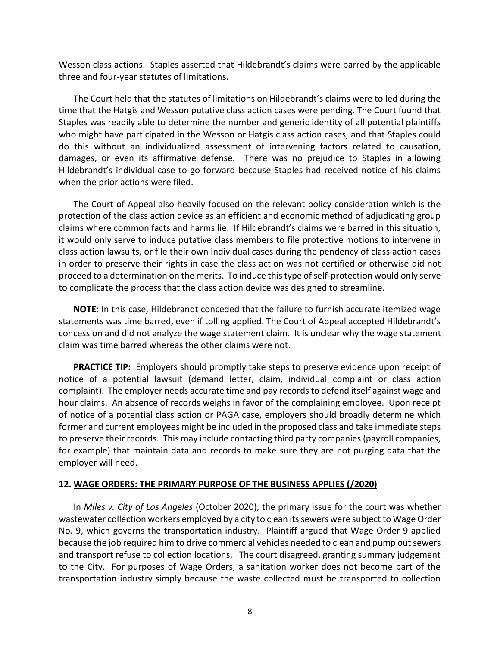Wesson class actions. Staples asserted that Hildebrandt's claims were barred by the applicable three and four-year statutes of limitations.

The Court held that the statutes of limitations on Hildebrandt's claims were tolled during the time that the Hatgis and Wesson putative class action cases were pending. The Court found that Staples was readily able to determine the number and generic identity of all potential plaintiffs who might have participated in the Wesson or Hatgis class action cases, and that Staples could do this without an individualized assessment of intervening factors related to causation, damages, or even its affirmative defense. There was no prejudice to Staples in allowing Hildebrandt's individual case to go forward because Staples had received notice of his claims when the prior actions were filed.

The Court of Appeal also heavily focused on the relevant policy consideration which is the protection of the class action device as an efficient and economic method of adjudicating group claims where common facts and harms lie. If Hildebrandt's claims were barred in this situation, it would only serve to induce putative class members to file protective motions to intervene in class action lawsuits, or file their own individual cases during the pendency of class action cases in order to preserve their rights in case the class action was not certified or otherwise did not proceed to a determination on the merits. To induce this type of self-protection would only serve to complicate the process that the class action device was designed to streamline.

**NOTE:** In this case, Hildebrandt conceded that the failure to furnish accurate itemized wage statements was time barred, even if tolling applied. The Court of Appeal accepted Hildebrandt's concession and did not analyze the wage statement claim. It is unclear why the wage statement claim was time barred whereas the other claims were not.

**PRACTICE TIP:** Employers should promptly take steps to preserve evidence upon receipt of notice of a potential lawsuit (demand letter, claim, individual complaint or class action complaint). The employer needs accurate time and pay records to defend itself against wage and hour claims. An absence of records weighs in favor of the complaining employee. Upon receipt of notice of a potential class action or PAGA case, employers should broadly determine which former and current employees might be included in the proposed class and take immediate steps to preserve their records. This may include contacting third party companies (payroll companies, for example) that maintain data and records to make sure they are not purging data that the employer will need.

#### **12. WAGE ORDERS: THE PRIMARY PURPOSE OF THE BUSINESS APPLIES (/2020)**

In *Miles v. City of Los Angeles* (October 2020), the primary issue for the court was whether wastewater collection workers employed by a city to clean its sewers were subject to Wage Order No. 9, which governs the transportation industry. Plaintiff argued that Wage Order 9 applied because the job required him to drive commercial vehicles needed to clean and pump out sewers and transport refuse to collection locations. The court disagreed, granting summary judgement to the City. For purposes of Wage Orders, a sanitation worker does not become part of the transportation industry simply because the waste collected must be transported to collection